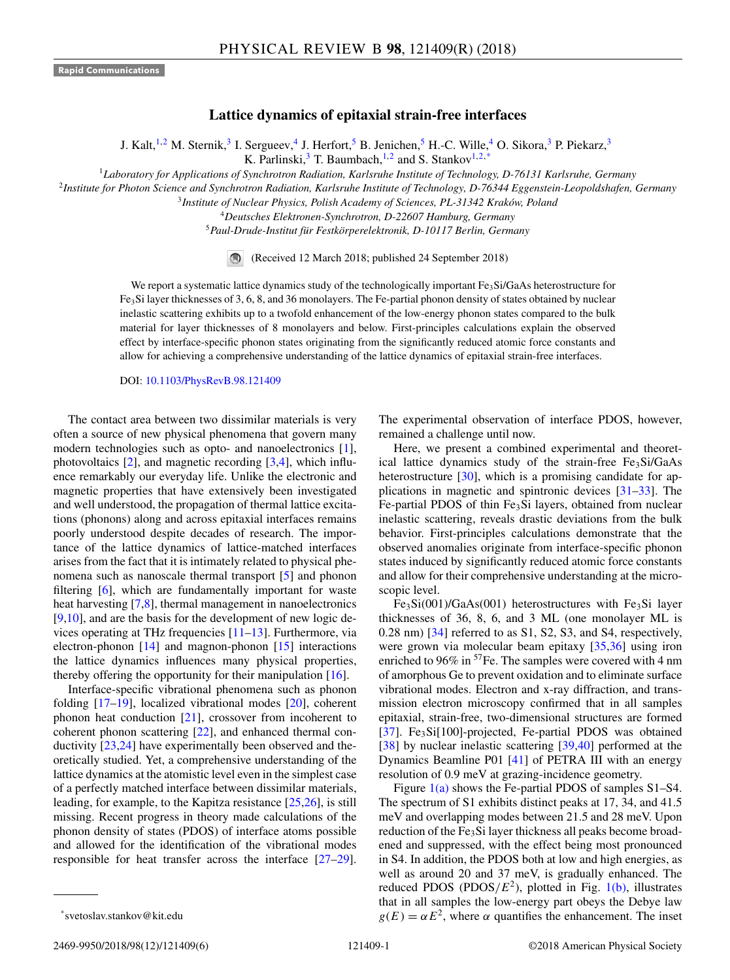## **Lattice dynamics of epitaxial strain-free interfaces**

J. Kalt,<sup>1,2</sup> M. Sternik,<sup>3</sup> I. Sergueev,<sup>4</sup> J. Herfort,<sup>5</sup> B. Jenichen,<sup>5</sup> H.-C. Wille,<sup>4</sup> O. Sikora,<sup>3</sup> P. Piekarz,<sup>3</sup>

K. Parlinski, $3$  T. Baumbach, $1,2$  and S. Stankov $1,2,*$ 

<sup>1</sup>*Laboratory for Applications of Synchrotron Radiation, Karlsruhe Institute of Technology, D-76131 Karlsruhe, Germany*

<sup>2</sup>*Institute for Photon Science and Synchrotron Radiation, Karlsruhe Institute of Technology, D-76344 Eggenstein-Leopoldshafen, Germany*

<sup>3</sup>*Institute of Nuclear Physics, Polish Academy of Sciences, PL-31342 Kraków, Poland*

<sup>4</sup>*Deutsches Elektronen-Synchrotron, D-22607 Hamburg, Germany*

<sup>5</sup>*Paul-Drude-Institut für Festkörperelektronik, D-10117 Berlin, Germany*

(Received 12 March 2018; published 24 September 2018)

We report a systematic lattice dynamics study of the technologically important Fe<sub>3</sub>Si/GaAs heterostructure for Fe3Si layer thicknesses of 3, 6, 8, and 36 monolayers. The Fe-partial phonon density of states obtained by nuclear inelastic scattering exhibits up to a twofold enhancement of the low-energy phonon states compared to the bulk material for layer thicknesses of 8 monolayers and below. First-principles calculations explain the observed effect by interface-specific phonon states originating from the significantly reduced atomic force constants and allow for achieving a comprehensive understanding of the lattice dynamics of epitaxial strain-free interfaces.

DOI: [10.1103/PhysRevB.98.121409](https://doi.org/10.1103/PhysRevB.98.121409)

The contact area between two dissimilar materials is very often a source of new physical phenomena that govern many modern technologies such as opto- and nanoelectronics [\[1\]](#page-4-0), photovoltaics  $[2]$ , and magnetic recording  $[3,4]$ , which influence remarkably our everyday life. Unlike the electronic and magnetic properties that have extensively been investigated and well understood, the propagation of thermal lattice excitations (phonons) along and across epitaxial interfaces remains poorly understood despite decades of research. The importance of the lattice dynamics of lattice-matched interfaces arises from the fact that it is intimately related to physical phenomena such as nanoscale thermal transport [\[5\]](#page-4-0) and phonon filtering [\[6\]](#page-4-0), which are fundamentally important for waste heat harvesting [\[7,8\]](#page-4-0), thermal management in nanoelectronics [\[9,10\]](#page-4-0), and are the basis for the development of new logic devices operating at THz frequencies [\[11–13\]](#page-4-0). Furthermore, via electron-phonon [\[14\]](#page-4-0) and magnon-phonon [\[15\]](#page-4-0) interactions the lattice dynamics influences many physical properties, thereby offering the opportunity for their manipulation  $[16]$ .

Interface-specific vibrational phenomena such as phonon folding [\[17–19\]](#page-4-0), localized vibrational modes [\[20\]](#page-4-0), coherent phonon heat conduction [\[21\]](#page-4-0), crossover from incoherent to coherent phonon scattering [\[22\]](#page-4-0), and enhanced thermal conductivity [\[23,24\]](#page-4-0) have experimentally been observed and theoretically studied. Yet, a comprehensive understanding of the lattice dynamics at the atomistic level even in the simplest case of a perfectly matched interface between dissimilar materials, leading, for example, to the Kapitza resistance [\[25,26\]](#page-4-0), is still missing. Recent progress in theory made calculations of the phonon density of states (PDOS) of interface atoms possible and allowed for the identification of the vibrational modes responsible for heat transfer across the interface [\[27–29\]](#page-4-0). The experimental observation of interface PDOS, however, remained a challenge until now.

Here, we present a combined experimental and theoretical lattice dynamics study of the strain-free Fe<sub>3</sub>Si/GaAs heterostructure [\[30\]](#page-4-0), which is a promising candidate for applications in magnetic and spintronic devices [\[31–33\]](#page-4-0). The Fe-partial PDOS of thin Fe<sub>3</sub>Si layers, obtained from nuclear inelastic scattering, reveals drastic deviations from the bulk behavior. First-principles calculations demonstrate that the observed anomalies originate from interface-specific phonon states induced by significantly reduced atomic force constants and allow for their comprehensive understanding at the microscopic level.

 $Fe<sub>3</sub>Si(001)/GaAs(001)$  heterostructures with  $Fe<sub>3</sub>Si$  layer thicknesses of 36, 8, 6, and 3 ML (one monolayer ML is 0.28 nm) [\[34\]](#page-4-0) referred to as S1, S2, S3, and S4, respectively, were grown via molecular beam epitaxy [\[35,36\]](#page-4-0) using iron enriched to 96% in  ${}^{57}$ Fe. The samples were covered with 4 nm of amorphous Ge to prevent oxidation and to eliminate surface vibrational modes. Electron and x-ray diffraction, and transmission electron microscopy confirmed that in all samples epitaxial, strain-free, two-dimensional structures are formed [\[37\]](#page-4-0). Fe<sub>3</sub>Si[100]-projected, Fe-partial PDOS was obtained [\[38\]](#page-4-0) by nuclear inelastic scattering [\[39](#page-4-0)[,40\]](#page-5-0) performed at the Dynamics Beamline P01 [\[41\]](#page-5-0) of PETRA III with an energy resolution of 0.9 meV at grazing-incidence geometry.

Figure  $1(a)$  shows the Fe-partial PDOS of samples S1–S4. The spectrum of S1 exhibits distinct peaks at 17, 34, and 41.5 meV and overlapping modes between 21.5 and 28 meV. Upon reduction of the Fe<sub>3</sub>Si layer thickness all peaks become broadened and suppressed, with the effect being most pronounced in S4. In addition, the PDOS both at low and high energies, as well as around 20 and 37 meV, is gradually enhanced. The reduced PDOS (PDOS/ $E^2$ ), plotted in Fig. [1\(b\),](#page-1-0) illustrates that in all samples the low-energy part obeys the Debye law  $g(E) = \alpha E^2$ , where  $\alpha$  quantifies the enhancement. The inset

<sup>\*</sup>svetoslav.stankov@kit.edu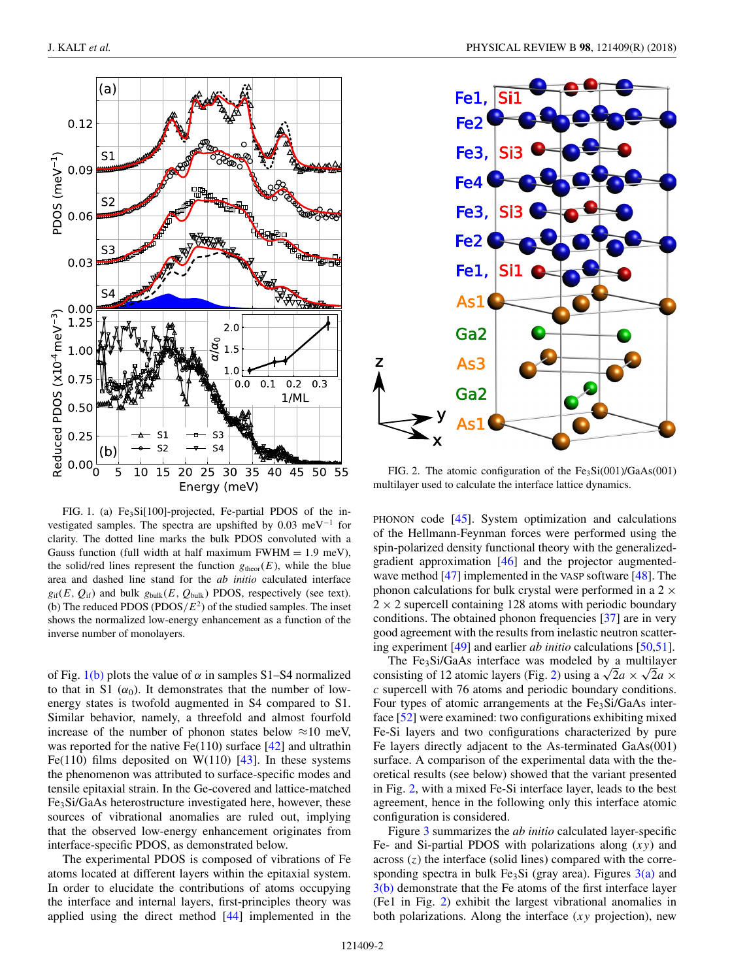<span id="page-1-0"></span>

FIG. 1. (a) Fe<sub>3</sub>Si<sup>[100]</sup>-projected, Fe-partial PDOS of the investigated samples. The spectra are upshifted by  $0.03 \text{ meV}^{-1}$  for clarity. The dotted line marks the bulk PDOS convoluted with a Gauss function (full width at half maximum FWHM = 1*.*9 meV), the solid/red lines represent the function  $g_{\text{theor}}(E)$ , while the blue area and dashed line stand for the *ab initio* calculated interface  $g_{if}(E, Q_{if})$  and bulk  $g_{bulk}(E, Q_{bulk})$  PDOS, respectively (see text). (b) The reduced PDOS (PDOS $/E<sup>2</sup>$ ) of the studied samples. The inset shows the normalized low-energy enhancement as a function of the inverse number of monolayers.

of Fig.  $1(b)$  plots the value of  $\alpha$  in samples S1–S4 normalized to that in S1  $(\alpha_0)$ . It demonstrates that the number of lowenergy states is twofold augmented in S4 compared to S1. Similar behavior, namely, a threefold and almost fourfold increase of the number of phonon states below  $\approx$ 10 meV, was reported for the native  $Fe(110)$  surface  $[42]$  and ultrathin Fe(110) films deposited on W(110)  $[43]$ . In these systems the phenomenon was attributed to surface-specific modes and tensile epitaxial strain. In the Ge-covered and lattice-matched Fe3Si/GaAs heterostructure investigated here, however, these sources of vibrational anomalies are ruled out, implying that the observed low-energy enhancement originates from interface-specific PDOS, as demonstrated below.

The experimental PDOS is composed of vibrations of Fe atoms located at different layers within the epitaxial system. In order to elucidate the contributions of atoms occupying the interface and internal layers, first-principles theory was applied using the direct method [\[44\]](#page-5-0) implemented in the



FIG. 2. The atomic configuration of the  $Fe<sub>3</sub>Si(001)/GaAs(001)$ multilayer used to calculate the interface lattice dynamics.

PHONON code [\[45\]](#page-5-0). System optimization and calculations of the Hellmann-Feynman forces were performed using the spin-polarized density functional theory with the generalizedgradient approximation [\[46\]](#page-5-0) and the projector augmented-wave method [\[47\]](#page-5-0) implemented in the VASP software [\[48\]](#page-5-0). The phonon calculations for bulk crystal were performed in a  $2 \times$  $2 \times 2$  supercell containing 128 atoms with periodic boundary conditions. The obtained phonon frequencies [\[37\]](#page-4-0) are in very good agreement with the results from inelastic neutron scattering experiment [\[49\]](#page-5-0) and earlier *ab initio* calculations [\[50,51\]](#page-5-0).

The Fe<sub>3</sub>Si/GaAs interface was modeled by a multilayer consisting of 12 atomic layers (Fig. 2) using a  $\sqrt{2a} \times \sqrt{2a} \times$ *c* supercell with 76 atoms and periodic boundary conditions. Four types of atomic arrangements at the Fe<sub>3</sub>Si/GaAs interface [\[52\]](#page-5-0) were examined: two configurations exhibiting mixed Fe-Si layers and two configurations characterized by pure Fe layers directly adjacent to the As-terminated GaAs(001) surface. A comparison of the experimental data with the theoretical results (see below) showed that the variant presented in Fig. 2, with a mixed Fe-Si interface layer, leads to the best agreement, hence in the following only this interface atomic configuration is considered.

Figure [3](#page-2-0) summarizes the *ab initio* calculated layer-specific Fe- and Si-partial PDOS with polarizations along (*xy*) and across (*z*) the interface (solid lines) compared with the corresponding spectra in bulk Fe<sub>3</sub>Si (gray area). Figures  $3(a)$  and [3\(b\)](#page-2-0) demonstrate that the Fe atoms of the first interface layer (Fe1 in Fig. 2) exhibit the largest vibrational anomalies in both polarizations. Along the interface (*xy* projection), new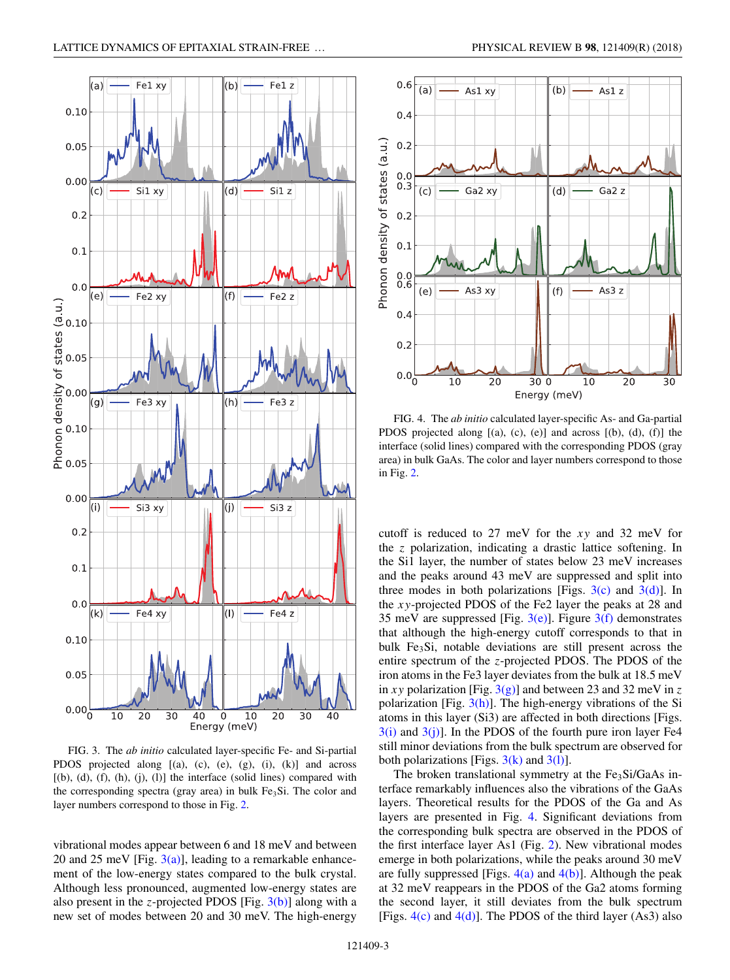<span id="page-2-0"></span>

FIG. 3. The *ab initio* calculated layer-specific Fe- and Si-partial PDOS projected along  $[(a), (c), (e), (g), (i), (k)]$  and across  $[(b), (d), (f), (h), (i), (l)]$  the interface (solid lines) compared with the corresponding spectra (gray area) in bulk  $Fe<sub>3</sub>Si$ . The color and layer numbers correspond to those in Fig. [2.](#page-1-0)

vibrational modes appear between 6 and 18 meV and between 20 and 25 meV [Fig.  $3(a)$ ], leading to a remarkable enhancement of the low-energy states compared to the bulk crystal. Although less pronounced, augmented low-energy states are also present in the *z*-projected PDOS [Fig. 3(b)] along with a new set of modes between 20 and 30 meV. The high-energy



FIG. 4. The *ab initio* calculated layer-specific As- and Ga-partial PDOS projected along [(a), (c), (e)] and across [(b), (d), (f)] the interface (solid lines) compared with the corresponding PDOS (gray area) in bulk GaAs. The color and layer numbers correspond to those in Fig. [2.](#page-1-0)

cutoff is reduced to 27 meV for the *xy* and 32 meV for the *z* polarization, indicating a drastic lattice softening. In the Si1 layer, the number of states below 23 meV increases and the peaks around 43 meV are suppressed and split into three modes in both polarizations [Figs.  $3(c)$  and  $3(d)$ ]. In the *xy*-projected PDOS of the Fe2 layer the peaks at 28 and 35 meV are suppressed [Fig.  $3(e)$ ]. Figure  $3(f)$  demonstrates that although the high-energy cutoff corresponds to that in bulk Fe<sub>3</sub>Si, notable deviations are still present across the entire spectrum of the *z*-projected PDOS. The PDOS of the iron atoms in the Fe3 layer deviates from the bulk at 18.5 meV in *xy* polarization [Fig.  $3(g)$ ] and between 23 and 32 meV in *z* polarization [Fig.  $3(h)$ ]. The high-energy vibrations of the Si atoms in this layer (Si3) are affected in both directions [Figs.  $3(i)$  and  $3(i)$ ]. In the PDOS of the fourth pure iron layer Fe4 still minor deviations from the bulk spectrum are observed for both polarizations [Figs.  $3(k)$  and  $3(l)$ ].

The broken translational symmetry at the  $Fe<sub>3</sub>Si/GaAs$  interface remarkably influences also the vibrations of the GaAs layers. Theoretical results for the PDOS of the Ga and As layers are presented in Fig. 4. Significant deviations from the corresponding bulk spectra are observed in the PDOS of the first interface layer As1 (Fig. [2\)](#page-1-0). New vibrational modes emerge in both polarizations, while the peaks around 30 meV are fully suppressed [Figs.  $4(a)$  and  $4(b)$ ]. Although the peak at 32 meV reappears in the PDOS of the Ga2 atoms forming the second layer, it still deviates from the bulk spectrum [Figs.  $4(c)$  and  $4(d)$ ]. The PDOS of the third layer (As3) also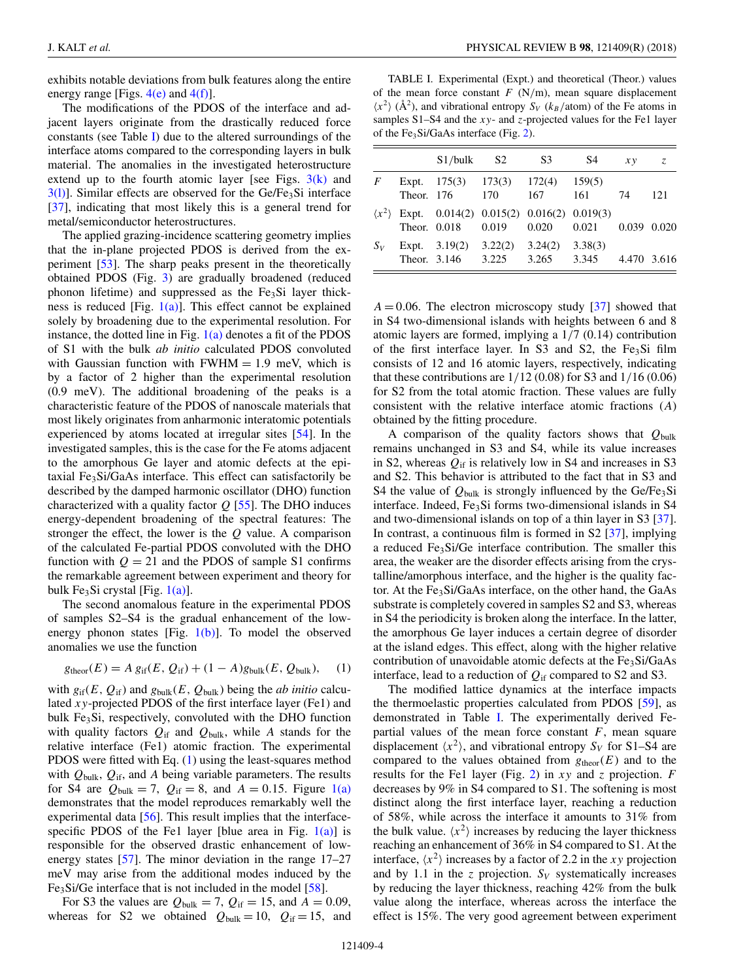exhibits notable deviations from bulk features along the entire energy range [Figs.  $4(e)$  and  $4(f)$ ].

The modifications of the PDOS of the interface and adjacent layers originate from the drastically reduced force constants (see Table I) due to the altered surroundings of the interface atoms compared to the corresponding layers in bulk material. The anomalies in the investigated heterostructure extend up to the fourth atomic layer [see Figs.  $3(k)$  and  $3(1)$ ]. Similar effects are observed for the Ge/Fe<sub>3</sub>Si interface [\[37\]](#page-4-0), indicating that most likely this is a general trend for metal/semiconductor heterostructures.

The applied grazing-incidence scattering geometry implies that the in-plane projected PDOS is derived from the experiment [\[53\]](#page-5-0). The sharp peaks present in the theoretically obtained PDOS (Fig. [3\)](#page-2-0) are gradually broadened (reduced phonon lifetime) and suppressed as the Fe<sub>3</sub>Si layer thickness is reduced [Fig.  $1(a)$ ]. This effect cannot be explained solely by broadening due to the experimental resolution. For instance, the dotted line in Fig.  $1(a)$  denotes a fit of the PDOS of S1 with the bulk *ab initio* calculated PDOS convoluted with Gaussian function with  $FWHM = 1.9$  meV, which is by a factor of 2 higher than the experimental resolution (0.9 meV). The additional broadening of the peaks is a characteristic feature of the PDOS of nanoscale materials that most likely originates from anharmonic interatomic potentials experienced by atoms located at irregular sites [\[54\]](#page-5-0). In the investigated samples, this is the case for the Fe atoms adjacent to the amorphous Ge layer and atomic defects at the epitaxial Fe<sub>3</sub>Si/GaAs interface. This effect can satisfactorily be described by the damped harmonic oscillator (DHO) function characterized with a quality factor *Q* [\[55\]](#page-5-0). The DHO induces energy-dependent broadening of the spectral features: The stronger the effect, the lower is the *Q* value. A comparison of the calculated Fe-partial PDOS convoluted with the DHO function with  $Q = 21$  and the PDOS of sample S1 confirms the remarkable agreement between experiment and theory for bulk Fe<sub>3</sub>Si crystal [Fig.  $1(a)$ ].

The second anomalous feature in the experimental PDOS of samples S2–S4 is the gradual enhancement of the lowenergy phonon states [Fig.  $1(b)$ ]. To model the observed anomalies we use the function

$$
g_{\text{theor}}(E) = A g_{\text{if}}(E, Q_{\text{if}}) + (1 - A) g_{\text{bulk}}(E, Q_{\text{bulk}}), \quad (1)
$$

with  $g_{if}(E, Q_{if})$  and  $g_{bulk}(E, Q_{bulk})$  being the *ab initio* calculated *xy*-projected PDOS of the first interface layer (Fe1) and bulk  $Fe<sub>3</sub>Si$ , respectively, convoluted with the DHO function with quality factors  $Q_{\text{if}}$  and  $Q_{\text{bulk}}$ , while *A* stands for the relative interface (Fe1) atomic fraction. The experimental PDOS were fitted with Eq. (1) using the least-squares method with *Q*bulk, *Q*if, and *A* being variable parameters. The results for S4 are  $Q_{bulk} = 7$ ,  $Q_{if} = 8$ , and  $A = 0.15$ . Figure [1\(a\)](#page-1-0) demonstrates that the model reproduces remarkably well the experimental data [\[56\]](#page-5-0). This result implies that the interfacespecific PDOS of the Fe1 layer [blue area in Fig.  $1(a)$ ] is responsible for the observed drastic enhancement of lowenergy states [\[57\]](#page-5-0). The minor deviation in the range 17–27 meV may arise from the additional modes induced by the Fe3Si/Ge interface that is not included in the model [\[58\]](#page-5-0).

For S3 the values are  $Q_{bulk} = 7$ ,  $Q_{if} = 15$ , and  $A = 0.09$ , whereas for S2 we obtained  $Q_{bulk} = 10$ ,  $Q_{if} = 15$ , and

TABLE I. Experimental (Expt.) and theoretical (Theor.) values of the mean force constant  $F(N/m)$ , mean square displacement  $\langle x^2 \rangle$  ( $\AA^2$ ), and vibrational entropy *S<sub>V</sub>* ( $k_B$ /atom) of the Fe atoms in samples S1–S4 and the *xy*- and *z*-projected values for the Fe1 layer of the Fe<sub>3</sub>Si/GaAs interface (Fig. [2\)](#page-1-0).

|                       | $S1/bulk$ $S2$                                                                | S3                     | S4      | x y         | Z.  |
|-----------------------|-------------------------------------------------------------------------------|------------------------|---------|-------------|-----|
| F                     | Expt. $175(3)$ $173(3)$ $172(4)$ $159(5)$<br>Theor. 176 170                   | 167                    | -161    | 74          | 121 |
| $\langle x^2 \rangle$ | Expt. $0.014(2)$ $0.015(2)$ $0.016(2)$ $0.019(3)$<br>Theor. 0.018 0.019 0.020 |                        | 0.021   | 0.039 0.020 |     |
| $S_V$                 | Expt. $3.19(2)$ $3.22(2)$<br>Theor. 3.146 3.225                               | 3.24(2)<br>3.265 3.345 | 3.38(3) | 4.470 3.616 |     |

 $A = 0.06$ . The electron microscopy study [\[37\]](#page-4-0) showed that in S4 two-dimensional islands with heights between 6 and 8 atomic layers are formed, implying a 1*/*7 (0.14) contribution of the first interface layer. In S3 and S2, the Fe<sub>3</sub>Si film consists of 12 and 16 atomic layers, respectively, indicating that these contributions are 1*/*12 (0.08) for S3 and 1*/*16 (0.06) for S2 from the total atomic fraction. These values are fully consistent with the relative interface atomic fractions (*A*) obtained by the fitting procedure.

A comparison of the quality factors shows that *Q*bulk remains unchanged in S3 and S4, while its value increases in S2, whereas  $Q_{\text{if}}$  is relatively low in S4 and increases in S3 and S2. This behavior is attributed to the fact that in S3 and S4 the value of  $Q_{\text{bulk}}$  is strongly influenced by the Ge/Fe<sub>3</sub>Si interface. Indeed, Fe<sub>3</sub>Si forms two-dimensional islands in S4 and two-dimensional islands on top of a thin layer in S3 [\[37\]](#page-4-0). In contrast, a continuous film is formed in S2 [\[37\]](#page-4-0), implying a reduced Fe<sub>3</sub>Si/Ge interface contribution. The smaller this area, the weaker are the disorder effects arising from the crystalline/amorphous interface, and the higher is the quality factor. At the Fe<sub>3</sub>Si/GaAs interface, on the other hand, the GaAs substrate is completely covered in samples S2 and S3, whereas in S4 the periodicity is broken along the interface. In the latter, the amorphous Ge layer induces a certain degree of disorder at the island edges. This effect, along with the higher relative contribution of unavoidable atomic defects at the Fe<sub>3</sub>Si/GaAs interface, lead to a reduction of  $Q_{\text{if}}$  compared to S2 and S3.

The modified lattice dynamics at the interface impacts the thermoelastic properties calculated from PDOS [\[59\]](#page-5-0), as demonstrated in Table I. The experimentally derived Fepartial values of the mean force constant *F*, mean square displacement  $\langle x^2 \rangle$ , and vibrational entropy  $S_V$  for S1–S4 are compared to the values obtained from  $g_{\text{theor}}(E)$  and to the results for the Fe1 layer (Fig. [2\)](#page-1-0) in *xy* and *z* projection. *F* decreases by 9% in S4 compared to S1. The softening is most distinct along the first interface layer, reaching a reduction of 58%, while across the interface it amounts to 31% from the bulk value.  $\langle x^2 \rangle$  increases by reducing the layer thickness reaching an enhancement of 36% in S4 compared to S1. At the interface,  $\langle x^2 \rangle$  increases by a factor of 2.2 in the *xy* projection and by 1.1 in the *z* projection.  $S_V$  systematically increases by reducing the layer thickness, reaching 42% from the bulk value along the interface, whereas across the interface the effect is 15%. The very good agreement between experiment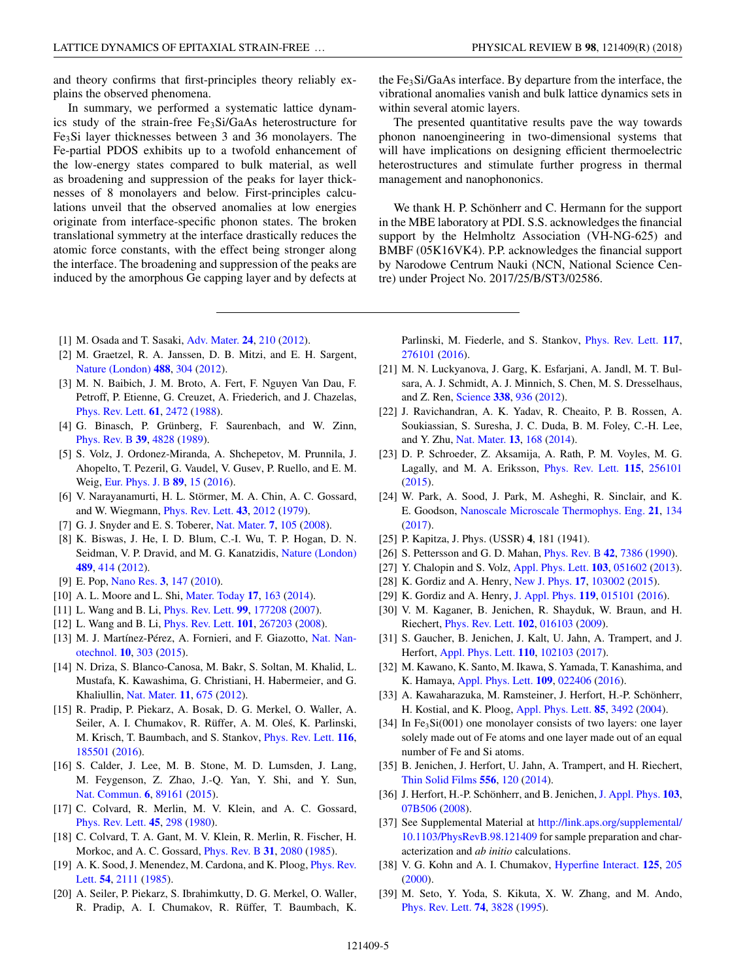<span id="page-4-0"></span>and theory confirms that first-principles theory reliably explains the observed phenomena.

In summary, we performed a systematic lattice dynamics study of the strain-free Fe3Si/GaAs heterostructure for Fe3Si layer thicknesses between 3 and 36 monolayers. The Fe-partial PDOS exhibits up to a twofold enhancement of the low-energy states compared to bulk material, as well as broadening and suppression of the peaks for layer thicknesses of 8 monolayers and below. First-principles calculations unveil that the observed anomalies at low energies originate from interface-specific phonon states. The broken translational symmetry at the interface drastically reduces the atomic force constants, with the effect being stronger along the interface. The broadening and suppression of the peaks are induced by the amorphous Ge capping layer and by defects at

- [1] M. Osada and T. Sasaki, [Adv. Mater.](https://doi.org/10.1002/adma.201103241) **[24](https://doi.org/10.1002/adma.201103241)**, [210](https://doi.org/10.1002/adma.201103241) [\(2012\)](https://doi.org/10.1002/adma.201103241).
- [2] M. Graetzel, R. A. Janssen, D. B. Mitzi, and E. H. Sargent, [Nature \(London\)](https://doi.org/10.1038/nature11476) **[488](https://doi.org/10.1038/nature11476)**, [304](https://doi.org/10.1038/nature11476) [\(2012\)](https://doi.org/10.1038/nature11476).
- [3] M. N. Baibich, J. M. Broto, A. Fert, F. Nguyen Van Dau, F. Petroff, P. Etienne, G. Creuzet, A. Friederich, and J. Chazelas, [Phys. Rev. Lett.](https://doi.org/10.1103/PhysRevLett.61.2472) **[61](https://doi.org/10.1103/PhysRevLett.61.2472)**, [2472](https://doi.org/10.1103/PhysRevLett.61.2472) [\(1988\)](https://doi.org/10.1103/PhysRevLett.61.2472).
- [4] G. Binasch, P. Grünberg, F. Saurenbach, and W. Zinn, [Phys. Rev. B](https://doi.org/10.1103/PhysRevB.39.4828) **[39](https://doi.org/10.1103/PhysRevB.39.4828)**, [4828](https://doi.org/10.1103/PhysRevB.39.4828) [\(1989\)](https://doi.org/10.1103/PhysRevB.39.4828).
- [5] S. Volz, J. Ordonez-Miranda, A. Shchepetov, M. Prunnila, J. Ahopelto, T. Pezeril, G. Vaudel, V. Gusev, P. Ruello, and E. M. Weig, [Eur. Phys. J. B](https://doi.org/10.1140/epjb/e2015-60727-7) **[89](https://doi.org/10.1140/epjb/e2015-60727-7)**, [15](https://doi.org/10.1140/epjb/e2015-60727-7) [\(2016\)](https://doi.org/10.1140/epjb/e2015-60727-7).
- [6] V. Narayanamurti, H. L. Störmer, M. A. Chin, A. C. Gossard, and W. Wiegmann, [Phys. Rev. Lett.](https://doi.org/10.1103/PhysRevLett.43.2012) **[43](https://doi.org/10.1103/PhysRevLett.43.2012)**, [2012](https://doi.org/10.1103/PhysRevLett.43.2012) [\(1979\)](https://doi.org/10.1103/PhysRevLett.43.2012).
- [7] G. J. Snyder and E. S. Toberer, [Nat. Mater.](https://doi.org/10.1038/nmat2090) **[7](https://doi.org/10.1038/nmat2090)**, [105](https://doi.org/10.1038/nmat2090) [\(2008\)](https://doi.org/10.1038/nmat2090).
- [8] K. Biswas, J. He, I. D. Blum, C.-I. Wu, T. P. Hogan, D. N. Seidman, V. P. Dravid, and M. G. Kanatzidis, [Nature \(London\)](https://doi.org/10.1038/nature11439) **[489](https://doi.org/10.1038/nature11439)**, [414](https://doi.org/10.1038/nature11439) [\(2012\)](https://doi.org/10.1038/nature11439).
- [9] E. Pop, [Nano Res.](https://doi.org/10.1007/s12274-010-1019-z) **[3](https://doi.org/10.1007/s12274-010-1019-z)**, [147](https://doi.org/10.1007/s12274-010-1019-z) [\(2010\)](https://doi.org/10.1007/s12274-010-1019-z).
- [10] A. L. Moore and L. Shi, [Mater. Today](https://doi.org/10.1016/j.mattod.2014.04.003) **[17](https://doi.org/10.1016/j.mattod.2014.04.003)**, [163](https://doi.org/10.1016/j.mattod.2014.04.003) [\(2014\)](https://doi.org/10.1016/j.mattod.2014.04.003).
- [11] L. Wang and B. Li, [Phys. Rev. Lett.](https://doi.org/10.1103/PhysRevLett.99.177208) **[99](https://doi.org/10.1103/PhysRevLett.99.177208)**, [177208](https://doi.org/10.1103/PhysRevLett.99.177208) [\(2007\)](https://doi.org/10.1103/PhysRevLett.99.177208).
- [12] L. Wang and B. Li, [Phys. Rev. Lett.](https://doi.org/10.1103/PhysRevLett.101.267203) **[101](https://doi.org/10.1103/PhysRevLett.101.267203)**, [267203](https://doi.org/10.1103/PhysRevLett.101.267203) [\(2008\)](https://doi.org/10.1103/PhysRevLett.101.267203).
- [13] [M. J. Martínez-Pérez, A. Fornieri, and F. Giazotto,](https://doi.org/10.1038/nnano.2015.11) Nat. Nanotechnol. **[10](https://doi.org/10.1038/nnano.2015.11)**, [303](https://doi.org/10.1038/nnano.2015.11) [\(2015\)](https://doi.org/10.1038/nnano.2015.11).
- [14] N. Driza, S. Blanco-Canosa, M. Bakr, S. Soltan, M. Khalid, L. Mustafa, K. Kawashima, G. Christiani, H. Habermeier, and G. Khaliullin, [Nat. Mater.](https://doi.org/10.1038/nmat3378) **[11](https://doi.org/10.1038/nmat3378)**, [675](https://doi.org/10.1038/nmat3378) [\(2012\)](https://doi.org/10.1038/nmat3378).
- [15] R. Pradip, P. Piekarz, A. Bosak, D. G. Merkel, O. Waller, A. Seiler, A. I. Chumakov, R. Rüffer, A. M. Oles, K. Parlinski, ´ M. Krisch, T. Baumbach, and S. Stankov, [Phys. Rev. Lett.](https://doi.org/10.1103/PhysRevLett.116.185501) **[116](https://doi.org/10.1103/PhysRevLett.116.185501)**, [185501](https://doi.org/10.1103/PhysRevLett.116.185501) [\(2016\)](https://doi.org/10.1103/PhysRevLett.116.185501).
- [16] S. Calder, J. Lee, M. B. Stone, M. D. Lumsden, J. Lang, M. Feygenson, Z. Zhao, J.-Q. Yan, Y. Shi, and Y. Sun, [Nat. Commun.](https://doi.org/10.1038/ncomms9916) **[6](https://doi.org/10.1038/ncomms9916)**, [89161](https://doi.org/10.1038/ncomms9916) [\(2015\)](https://doi.org/10.1038/ncomms9916).
- [17] C. Colvard, R. Merlin, M. V. Klein, and A. C. Gossard, [Phys. Rev. Lett.](https://doi.org/10.1103/PhysRevLett.45.298) **[45](https://doi.org/10.1103/PhysRevLett.45.298)**, [298](https://doi.org/10.1103/PhysRevLett.45.298) [\(1980\)](https://doi.org/10.1103/PhysRevLett.45.298).
- [18] C. Colvard, T. A. Gant, M. V. Klein, R. Merlin, R. Fischer, H. Morkoc, and A. C. Gossard, [Phys. Rev. B](https://doi.org/10.1103/PhysRevB.31.2080) **[31](https://doi.org/10.1103/PhysRevB.31.2080)**, [2080](https://doi.org/10.1103/PhysRevB.31.2080) [\(1985\)](https://doi.org/10.1103/PhysRevB.31.2080).
- [19] [A. K. Sood, J. Menendez, M. Cardona, and K. Ploog,](https://doi.org/10.1103/PhysRevLett.54.2111) *Phys. Rev.* Lett. **[54](https://doi.org/10.1103/PhysRevLett.54.2111)**, [2111](https://doi.org/10.1103/PhysRevLett.54.2111) [\(1985\)](https://doi.org/10.1103/PhysRevLett.54.2111).
- [20] A. Seiler, P. Piekarz, S. Ibrahimkutty, D. G. Merkel, O. Waller, R. Pradip, A. I. Chumakov, R. Rüffer, T. Baumbach, K.

the Fe3Si/GaAs interface. By departure from the interface, the vibrational anomalies vanish and bulk lattice dynamics sets in within several atomic layers.

The presented quantitative results pave the way towards phonon nanoengineering in two-dimensional systems that will have implications on designing efficient thermoelectric heterostructures and stimulate further progress in thermal management and nanophononics.

We thank H. P. Schönherr and C. Hermann for the support in the MBE laboratory at PDI. S.S. acknowledges the financial support by the Helmholtz Association (VH-NG-625) and BMBF (05K16VK4). P.P. acknowledges the financial support by Narodowe Centrum Nauki (NCN, National Science Centre) under Project No. 2017/25/B/ST3/02586.

Parlinski, M. Fiederle, and S. Stankov, [Phys. Rev. Lett.](https://doi.org/10.1103/PhysRevLett.117.276101) **[117](https://doi.org/10.1103/PhysRevLett.117.276101)**, [276101](https://doi.org/10.1103/PhysRevLett.117.276101) [\(2016\)](https://doi.org/10.1103/PhysRevLett.117.276101).

- [21] M. N. Luckyanova, J. Garg, K. Esfarjani, A. Jandl, M. T. Bulsara, A. J. Schmidt, A. J. Minnich, S. Chen, M. S. Dresselhaus, and Z. Ren, [Science](https://doi.org/10.1126/science.1225549) **[338](https://doi.org/10.1126/science.1225549)**, [936](https://doi.org/10.1126/science.1225549) [\(2012\)](https://doi.org/10.1126/science.1225549).
- [22] J. Ravichandran, A. K. Yadav, R. Cheaito, P. B. Rossen, A. Soukiassian, S. Suresha, J. C. Duda, B. M. Foley, C.-H. Lee, and Y. Zhu, [Nat. Mater.](https://doi.org/10.1038/nmat3826) **[13](https://doi.org/10.1038/nmat3826)**, [168](https://doi.org/10.1038/nmat3826) [\(2014\)](https://doi.org/10.1038/nmat3826).
- [23] D. P. Schroeder, Z. Aksamija, A. Rath, P. M. Voyles, M. G. Lagally, and M. A. Eriksson, [Phys. Rev. Lett.](https://doi.org/10.1103/PhysRevLett.115.256101) **[115](https://doi.org/10.1103/PhysRevLett.115.256101)**, [256101](https://doi.org/10.1103/PhysRevLett.115.256101) [\(2015\)](https://doi.org/10.1103/PhysRevLett.115.256101).
- [24] W. Park, A. Sood, J. Park, M. Asheghi, R. Sinclair, and K. E. Goodson, [Nanoscale Microscale Thermophys. Eng.](https://doi.org/10.1080/15567265.2017.1296910) **[21](https://doi.org/10.1080/15567265.2017.1296910)**, [134](https://doi.org/10.1080/15567265.2017.1296910) [\(2017\)](https://doi.org/10.1080/15567265.2017.1296910).
- [25] P. Kapitza, J. Phys. (USSR) **4**, 181 (1941).
- [26] S. Pettersson and G. D. Mahan, [Phys. Rev. B](https://doi.org/10.1103/PhysRevB.42.7386) **[42](https://doi.org/10.1103/PhysRevB.42.7386)**, [7386](https://doi.org/10.1103/PhysRevB.42.7386) [\(1990\)](https://doi.org/10.1103/PhysRevB.42.7386).
- [27] Y. Chalopin and S. Volz, [Appl. Phys. Lett.](https://doi.org/10.1063/1.4816738) **[103](https://doi.org/10.1063/1.4816738)**, [051602](https://doi.org/10.1063/1.4816738) [\(2013\)](https://doi.org/10.1063/1.4816738).
- [28] K. Gordiz and A. Henry, [New J. Phys.](https://doi.org/10.1088/1367-2630/17/10/103002) **[17](https://doi.org/10.1088/1367-2630/17/10/103002)**, [103002](https://doi.org/10.1088/1367-2630/17/10/103002) [\(2015\)](https://doi.org/10.1088/1367-2630/17/10/103002).
- [29] K. Gordiz and A. Henry, [J. Appl. Phys.](https://doi.org/10.1063/1.4939207) **[119](https://doi.org/10.1063/1.4939207)**, [015101](https://doi.org/10.1063/1.4939207) [\(2016\)](https://doi.org/10.1063/1.4939207).
- [30] V. M. Kaganer, B. Jenichen, R. Shayduk, W. Braun, and H. Riechert, [Phys. Rev. Lett.](https://doi.org/10.1103/PhysRevLett.102.016103) **[102](https://doi.org/10.1103/PhysRevLett.102.016103)**, [016103](https://doi.org/10.1103/PhysRevLett.102.016103) [\(2009\)](https://doi.org/10.1103/PhysRevLett.102.016103).
- [31] S. Gaucher, B. Jenichen, J. Kalt, U. Jahn, A. Trampert, and J. Herfort, [Appl. Phys. Lett.](https://doi.org/10.1063/1.4977833) **[110](https://doi.org/10.1063/1.4977833)**, [102103](https://doi.org/10.1063/1.4977833) [\(2017\)](https://doi.org/10.1063/1.4977833).
- [32] M. Kawano, K. Santo, M. Ikawa, S. Yamada, T. Kanashima, and K. Hamaya, [Appl. Phys. Lett.](https://doi.org/10.1063/1.4958894) **[109](https://doi.org/10.1063/1.4958894)**, [022406](https://doi.org/10.1063/1.4958894) [\(2016\)](https://doi.org/10.1063/1.4958894).
- [33] A. Kawaharazuka, M. Ramsteiner, J. Herfort, H.-P. Schönherr, H. Kostial, and K. Ploog, [Appl. Phys. Lett.](https://doi.org/10.1063/1.1807014) **[85](https://doi.org/10.1063/1.1807014)**, [3492](https://doi.org/10.1063/1.1807014) [\(2004\)](https://doi.org/10.1063/1.1807014).
- [34] In Fe<sub>3</sub>Si(001) one monolayer consists of two layers: one layer solely made out of Fe atoms and one layer made out of an equal number of Fe and Si atoms.
- [35] B. Jenichen, J. Herfort, U. Jahn, A. Trampert, and H. Riechert, [Thin Solid Films](https://doi.org/10.1016/j.tsf.2014.01.022) **[556](https://doi.org/10.1016/j.tsf.2014.01.022)**, [120](https://doi.org/10.1016/j.tsf.2014.01.022) [\(2014\)](https://doi.org/10.1016/j.tsf.2014.01.022).
- [36] J. Herfort, H.-P. Schönherr, and B. Jenichen, [J. Appl. Phys.](https://doi.org/10.1063/1.2831333) **[103](https://doi.org/10.1063/1.2831333)**, [07B506](https://doi.org/10.1063/1.2831333) [\(2008\)](https://doi.org/10.1063/1.2831333).
- [37] See Supplemental Material at [http://link.aps.org/supplemental/](http://link.aps.org/supplemental/10.1103/PhysRevB.98.121409) 10.1103/PhysRevB.98.121409 for sample preparation and characterization and *ab initio* calculations.
- [38] V. G. Kohn and A. I. Chumakov, [Hyperfine Interact.](https://doi.org/10.1023/A:1012689705503) **[125](https://doi.org/10.1023/A:1012689705503)**, [205](https://doi.org/10.1023/A:1012689705503) [\(2000\)](https://doi.org/10.1023/A:1012689705503).
- [39] M. Seto, Y. Yoda, S. Kikuta, X. W. Zhang, and M. Ando, [Phys. Rev. Lett.](https://doi.org/10.1103/PhysRevLett.74.3828) **[74](https://doi.org/10.1103/PhysRevLett.74.3828)**, [3828](https://doi.org/10.1103/PhysRevLett.74.3828) [\(1995\)](https://doi.org/10.1103/PhysRevLett.74.3828).